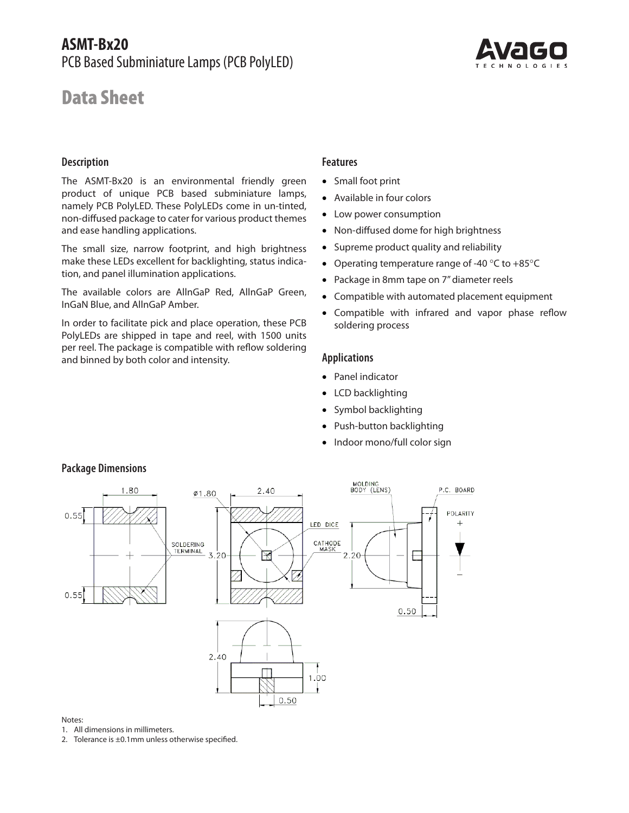



## **Description**

The ASMT-Bx20 is an environmental friendly green product of unique PCB based subminiature lamps, namely PCB PolyLED. These PolyLEDs come in un-tinted, non-diffused package to cater for various product themes and ease handling applications.

The small size, narrow footprint, and high brightness make these LEDs excellent for backlighting, status indication, and panel illumination applications.

The available colors are AllnGaP Red, AllnGaP Green, InGaN Blue, and AllnGaP Amber.

In order to facilitate pick and place operation, these PCB PolyLEDs are shipped in tape and reel, with 1500 units per reel. The package is compatible with reflow soldering and binned by both color and intensity.

## **Features**

- Small foot print
- Available in four colors
- Low power consumption
- Non-diffused dome for high brightness
- Supreme product quality and reliability
- Operating temperature range of -40 °C to +85°C
- Package in 8mm tape on 7" diameter reels
- Compatible with automated placement equipment
- Compatible with infrared and vapor phase reflow soldering process

### **Applications**

- Panel indicator
- LCD backlighting
- Symbol backlighting
- Push-button backlighting
- Indoor mono/full color sign



# **Package Dimensions**

#### Notes:

1. All dimensions in millimeters.

2. Tolerance is ±0.1mm unless otherwise specified.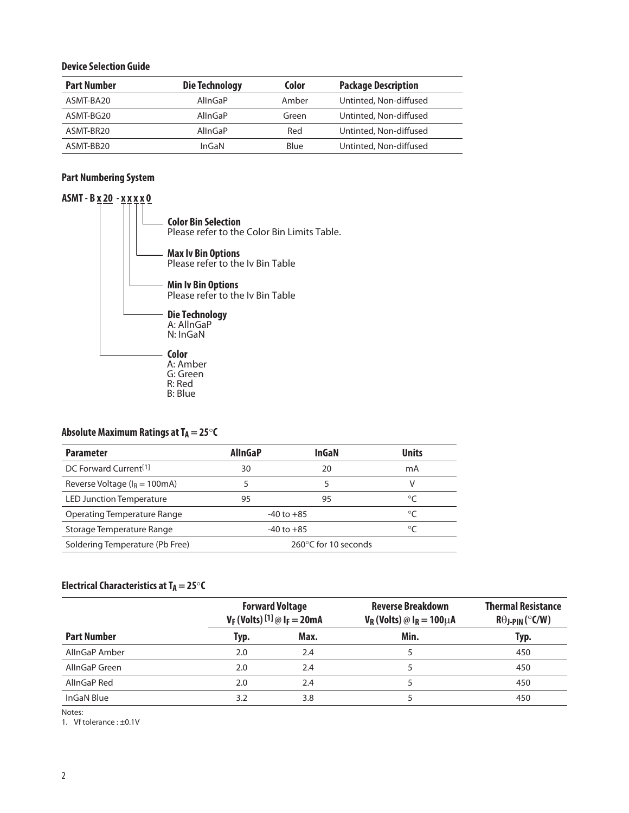### **Device Selection Guide**

| <b>Part Number</b> | <b>Die Technology</b> | Color | <b>Package Description</b> |
|--------------------|-----------------------|-------|----------------------------|
| ASMT-BA20          | AllnGaP               | Amber | Untinted, Non-diffused     |
| ASMT-BG20          | AllnGaP               | Green | Untinted, Non-diffused     |
| ASMT-BR20          | AllnGaP               | Red   | Untinted, Non-diffused     |
| ASMT-BB20          | InGaN                 | Blue  | Untinted, Non-diffused     |

# **Part Numbering System**



## Absolute Maximum Ratings at T<sub>A</sub> = 25°C

| <b>Parameter</b>                          | <b>AllnGaP</b>       | InGaN          | <b>Units</b> |
|-------------------------------------------|----------------------|----------------|--------------|
| DC Forward Current <sup>[1]</sup>         | 30                   | 20             | mA           |
| Reverse Voltage ( $I_R = 100 \text{mA}$ ) |                      |                | V            |
| <b>LED Junction Temperature</b>           | 95                   | 95             | °⊂           |
| Operating Temperature Range               |                      | $-40$ to $+85$ | $\circ$ C    |
| Storage Temperature Range                 |                      | $-40$ to $+85$ | ் $\epsilon$ |
| Soldering Temperature (Pb Free)           | 260°C for 10 seconds |                |              |

# **Electrical Characteristics at T<sub>A</sub> = 25** $\circ$ **C**

|                    | <b>Forward Voltage</b><br>$V_F$ (Volts) $^{[1]}$ @ $I_F = 20$ mA |      | <b>Reverse Breakdown</b><br>$V_R$ (Volts) @ $I_R = 100 \mu A$ | <b>Thermal Resistance</b><br>$R\theta$ J-PIN (°C/W) |
|--------------------|------------------------------------------------------------------|------|---------------------------------------------------------------|-----------------------------------------------------|
| <b>Part Number</b> | Typ.                                                             | Max. | Min.                                                          | Typ.                                                |
| AllnGaP Amber      | 2.0                                                              | 2.4  |                                                               | 450                                                 |
| AllnGaP Green      | 2.0                                                              | 2.4  |                                                               | 450                                                 |
| AllnGaP Red        | 2.0                                                              | 2.4  |                                                               | 450                                                 |
| InGaN Blue         | 3.2                                                              | 3.8  |                                                               | 450                                                 |

Notes:

1. Vf tolerance : ±0.1V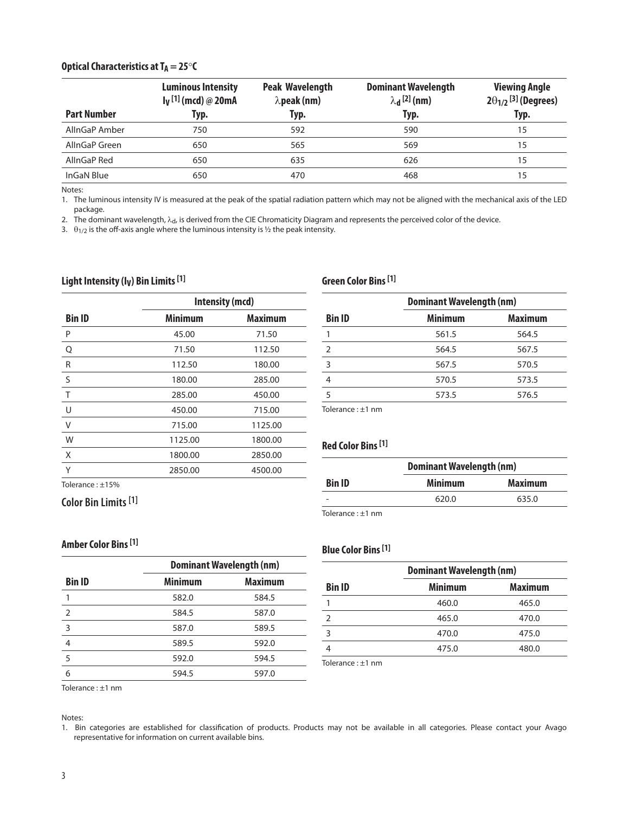#### **Optical Characteristics at**  $T_A = 25^\circ C$

| <b>Part Number</b> | <b>Luminous Intensity</b><br>$I_V$ <sup>[1]</sup> (mcd) @ 20mA<br>Typ. | <b>Peak Wavelength</b><br>$\lambda$ peak (nm)<br>Typ. | <b>Dominant Wavelength</b><br>$\lambda_{\mathbf{d}}^{[2]}$ (nm)<br>Typ. | <b>Viewing Angle</b><br>$2\theta_{1/2}$ <sup>[3]</sup> (Degrees)<br>Typ. |
|--------------------|------------------------------------------------------------------------|-------------------------------------------------------|-------------------------------------------------------------------------|--------------------------------------------------------------------------|
| AllnGaP Amber      | 750                                                                    | 592                                                   | 590                                                                     | 15                                                                       |
| AllnGaP Green      | 650                                                                    | 565                                                   | 569                                                                     | 15                                                                       |
| AllnGaP Red        | 650                                                                    | 635                                                   | 626                                                                     | 15                                                                       |
| InGaN Blue         | 650                                                                    | 470                                                   | 468                                                                     | 15                                                                       |

Notes:

1. The luminous intensity IV is measured at the peak of the spatial radiation pattern which may not be aligned with the mechanical axis of the LED package.

2. The dominant wavelength,  $\lambda_{d}$ , is derived from the CIE Chromaticity Diagram and represents the perceived color of the device.

3.  $\theta_{1/2}$  is the off-axis angle where the luminous intensity is  $\frac{1}{2}$  the peak intensity.

#### Light Intensity (I<sub>V</sub>) Bin Limits [1]

# **Bin ID Intensity (mcd) Minimum Maximum** P 45.00 71.50 Q 71.50 112.50 R 112.50 180.00 S 180.00 285.00 T 285.00 450.00 U 450.00 715.00 V 715.00 1125.00 W 1125.00 1800.00 X 1800.00 2850.00 Y 2850.00 4500.00 Tolerance : ±15%

 582.0 584.5 584.5 587.0 587.0 589.5 589.5 592.0 592.0 594.5 594.5 597.0

**Dominant Wavelength (nm) Minimum Maximum**

# **Green Color Bins [1]**

|                | <b>Dominant Wavelength (nm)</b> |                |  |  |
|----------------|---------------------------------|----------------|--|--|
| <b>Bin ID</b>  | <b>Minimum</b>                  | <b>Maximum</b> |  |  |
|                | 561.5                           | 564.5          |  |  |
| $\overline{2}$ | 564.5                           | 567.5          |  |  |
| 3              | 567.5                           | 570.5          |  |  |
|                | 570.5                           | 573.5          |  |  |
| 5              | 573.5                           | 576.5          |  |  |
|                |                                 |                |  |  |

Tolerance : ±1 nm

### **Red Color Bins [1]**

|               | <b>Dominant Wavelength (nm)</b> |                |  |  |
|---------------|---------------------------------|----------------|--|--|
| <b>Bin ID</b> | <b>Minimum</b>                  | <b>Maximum</b> |  |  |
|               | 620.0                           | 635.0          |  |  |
|               |                                 |                |  |  |

Tolerance : ±1 nm

# **Blue Color Bins [1]**

|               | <b>Dominant Wavelength (nm)</b> |                |  |
|---------------|---------------------------------|----------------|--|
| <b>Bin ID</b> | <b>Minimum</b>                  | <b>Maximum</b> |  |
|               | 460.0                           | 465.0          |  |
| $\mathcal{P}$ | 465.0                           | 470.0          |  |
|               | 470.0                           | 475.0          |  |
|               | 475.0                           | 480.0          |  |
|               |                                 |                |  |

Tolerance : ±1 nm

**Color Bin Limits [1]**

**Amber Color Bins [1]**

**Bin ID**

Notes:

1. Bin categories are established for classification of products. Products may not be available in all categories. Please contact your Avago representative for information on current available bins.

Tolerance : ±1 nm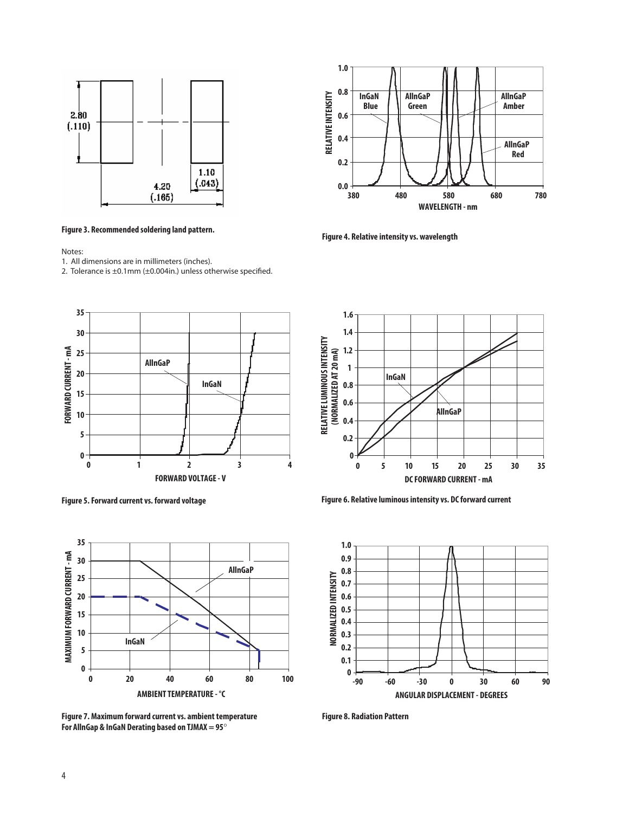

**Figure 3. Recommended soldering land pattern.** 

Notes:

- 1. All dimensions are in millimeters (inches).
- 2. Tolerance is ±0.1mm (±0.004in.) unless otherwise specified.





**Figure 7. Maximum forward current vs. ambient temperature Figure 8. Radiation Pattern For AllnGap & InGaN Derating based on TJMAX = 95**°



**Figure 4. Relative intensity vs. wavelength**



**Figure 5. Forward current vs. forward voltage Figure 6. Relative luminous intensity vs. DC forward current**

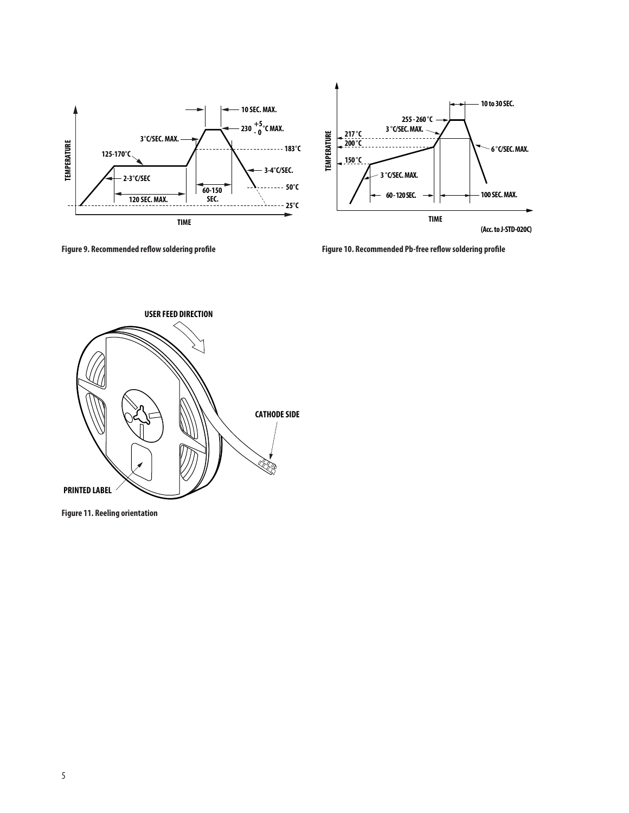



**Figure 9. Recommended reflow soldering profile Figure 10. Recommended Pb-free reflow soldering profile**



**Figure 11. Reeling orientation**